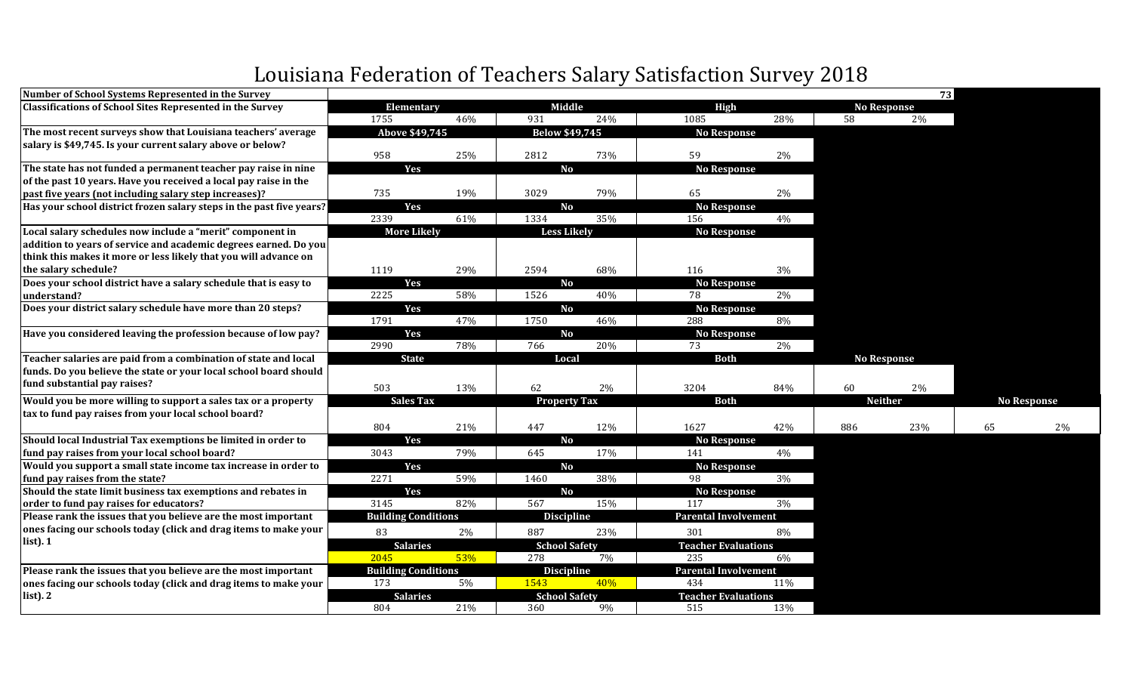## Louisiana Federation of Teachers Salary Satisfaction Survey 2018

| Number of School Systems Represented in the Survey                   |                            |     |                       |       |                             |       |     | 73                 |                    |    |
|----------------------------------------------------------------------|----------------------------|-----|-----------------------|-------|-----------------------------|-------|-----|--------------------|--------------------|----|
| <b>Classifications of School Sites Represented in the Survey</b>     | Elementary                 |     | Middle                |       | <b>High</b>                 |       |     | <b>No Response</b> |                    |    |
|                                                                      | 1755                       | 46% | 931                   | 24%   | 1085                        | 28%   | 58  | 2%                 |                    |    |
| The most recent surveys show that Louisiana teachers' average        | Above \$49,745             |     | <b>Below \$49,745</b> |       | <b>No Response</b>          |       |     |                    |                    |    |
| salary is \$49,745. Is your current salary above or below?           |                            |     |                       |       |                             |       |     |                    |                    |    |
|                                                                      | 958                        | 25% | 2812                  | 73%   | 59                          | 2%    |     |                    |                    |    |
| The state has not funded a permanent teacher pay raise in nine       | Yes                        |     | <b>No</b>             |       | <b>No Response</b>          |       |     |                    |                    |    |
| of the past 10 years. Have you received a local pay raise in the     |                            |     |                       |       |                             |       |     |                    |                    |    |
| past five years (not including salary step increases)?               | 735                        | 19% | 3029                  | 79%   | 65                          | 2%    |     |                    |                    |    |
| Has your school district frozen salary steps in the past five years? | Yes                        |     | <b>No</b>             |       | <b>No Response</b>          |       |     |                    |                    |    |
|                                                                      | 2339                       | 61% | 1334                  | 35%   | 156                         | 4%    |     |                    |                    |    |
| Local salary schedules now include a "merit" component in            | <b>More Likely</b>         |     | <b>Less Likely</b>    |       | <b>No Response</b>          |       |     |                    |                    |    |
| addition to years of service and academic degrees earned. Do you     |                            |     |                       |       |                             |       |     |                    |                    |    |
| think this makes it more or less likely that you will advance on     |                            |     |                       |       |                             |       |     |                    |                    |    |
| the salary schedule?                                                 | 1119                       | 29% | 2594                  | 68%   | 116                         | 3%    |     |                    |                    |    |
| Does your school district have a salary schedule that is easy to     | Yes                        |     | <b>No</b>             |       | <b>No Response</b>          |       |     |                    |                    |    |
| understand?                                                          | 2225                       | 58% | 1526                  | 40%   | 78                          | $2\%$ |     |                    |                    |    |
| Does your district salary schedule have more than 20 steps?          | Yes                        |     | N <sub>o</sub>        |       | <b>No Response</b>          |       |     |                    |                    |    |
|                                                                      | 1791                       | 47% | 1750                  | 46%   | 288                         | 8%    |     |                    |                    |    |
| Have you considered leaving the profession because of low pay?       | Yes                        |     | N <sub>o</sub>        |       | <b>No Response</b>          |       |     |                    |                    |    |
|                                                                      | 2990                       | 78% | 766                   | 20%   | 73                          | 2%    |     |                    |                    |    |
| Teacher salaries are paid from a combination of state and local      | <b>State</b>               |     | Local                 |       | <b>Both</b>                 |       |     | <b>No Response</b> |                    |    |
| funds. Do you believe the state or your local school board should    |                            |     |                       |       |                             |       |     |                    |                    |    |
| fund substantial pay raises?                                         | 503                        | 13% | 62                    | 2%    | 3204                        | 84%   | 60  | 2%                 |                    |    |
| Would you be more willing to support a sales tax or a property       | <b>Sales Tax</b>           |     | <b>Property Tax</b>   |       | <b>Both</b>                 |       |     | <b>Neither</b>     | <b>No Response</b> |    |
| tax to fund pay raises from your local school board?                 |                            |     |                       |       |                             |       |     |                    |                    |    |
|                                                                      | 804                        | 21% | 447                   | 12%   | 1627                        | 42%   | 886 | 23%                | 65                 | 2% |
| Should local Industrial Tax exemptions be limited in order to        | Yes                        |     | <b>No</b>             |       | <b>No Response</b>          |       |     |                    |                    |    |
| fund pay raises from your local school board?                        | 3043                       | 79% | 645                   | 17%   | 141                         | 4%    |     |                    |                    |    |
| Would you support a small state income tax increase in order to      | Yes                        |     | N <sub>o</sub>        |       | <b>No Response</b>          |       |     |                    |                    |    |
| fund pay raises from the state?                                      | 2271                       | 59% | 1460                  | 38%   | 98                          | $3\%$ |     |                    |                    |    |
| Should the state limit business tax exemptions and rebates in        | Yes                        |     | <b>No</b>             |       | <b>No Response</b>          |       |     |                    |                    |    |
| order to fund pay raises for educators?                              | 3145                       | 82% | 567                   | 15%   | 117                         | 3%    |     |                    |                    |    |
| Please rank the issues that you believe are the most important       | <b>Building Conditions</b> |     | <b>Discipline</b>     |       | <b>Parental Involvement</b> |       |     |                    |                    |    |
| ones facing our schools today (click and drag items to make your     | 83                         | 2%  | 887                   | 23%   | 301                         | 8%    |     |                    |                    |    |
| list). 1                                                             | <b>Salaries</b>            |     | <b>School Safety</b>  |       | <b>Teacher Evaluations</b>  |       |     |                    |                    |    |
|                                                                      | 2045                       | 53% | 278                   | $7\%$ | 235                         | 6%    |     |                    |                    |    |
| Please rank the issues that you believe are the most important       | <b>Building Conditions</b> |     | <b>Discipline</b>     |       | <b>Parental Involvement</b> |       |     |                    |                    |    |
| ones facing our schools today (click and drag items to make your     | 173                        | 5%  | 1543                  | 40%   | 434                         | 11%   |     |                    |                    |    |
| $list$ ). $2$                                                        | <b>Salaries</b>            |     | <b>School Safety</b>  |       | <b>Teacher Evaluations</b>  |       |     |                    |                    |    |
|                                                                      | 804                        | 21% | 360                   | 9%    | 515                         | 13%   |     |                    |                    |    |